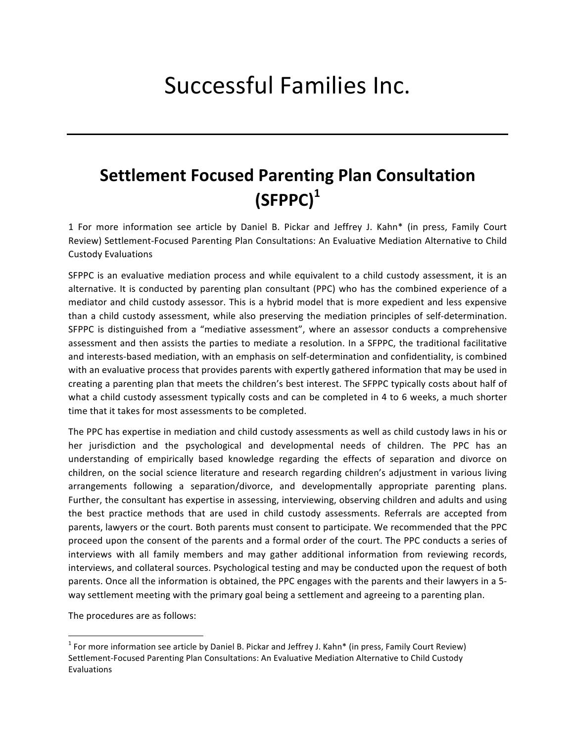## Successful Families Inc.

## **Settlement Focused Parenting Plan Consultation (SFPPC)1**

1 For more information see article by Daniel B. Pickar and Jeffrey J. Kahn\* (in press, Family Court Review) Settlement-Focused Parenting Plan Consultations: An Evaluative Mediation Alternative to Child Custody Evaluations

SFPPC is an evaluative mediation process and while equivalent to a child custody assessment, it is an alternative. It is conducted by parenting plan consultant (PPC) who has the combined experience of a mediator and child custody assessor. This is a hybrid model that is more expedient and less expensive than a child custody assessment, while also preserving the mediation principles of self-determination. SFPPC is distinguished from a "mediative assessment", where an assessor conducts a comprehensive assessment and then assists the parties to mediate a resolution. In a SFPPC, the traditional facilitative and interests-based mediation, with an emphasis on self-determination and confidentiality, is combined with an evaluative process that provides parents with expertly gathered information that may be used in creating a parenting plan that meets the children's best interest. The SFPPC typically costs about half of what a child custody assessment typically costs and can be completed in 4 to 6 weeks, a much shorter time that it takes for most assessments to be completed.

The PPC has expertise in mediation and child custody assessments as well as child custody laws in his or her jurisdiction and the psychological and developmental needs of children. The PPC has an understanding of empirically based knowledge regarding the effects of separation and divorce on children, on the social science literature and research regarding children's adjustment in various living arrangements following a separation/divorce, and developmentally appropriate parenting plans. Further, the consultant has expertise in assessing, interviewing, observing children and adults and using the best practice methods that are used in child custody assessments. Referrals are accepted from parents, lawyers or the court. Both parents must consent to participate. We recommended that the PPC proceed upon the consent of the parents and a formal order of the court. The PPC conducts a series of interviews with all family members and may gather additional information from reviewing records, interviews, and collateral sources. Psychological testing and may be conducted upon the request of both parents. Once all the information is obtained, the PPC engages with the parents and their lawyers in a 5way settlement meeting with the primary goal being a settlement and agreeing to a parenting plan.

The procedures are as follows:

 

 $1$  For more information see article by Daniel B. Pickar and Jeffrey J. Kahn\* (in press, Family Court Review) Settlement-Focused Parenting Plan Consultations: An Evaluative Mediation Alternative to Child Custody Evaluations